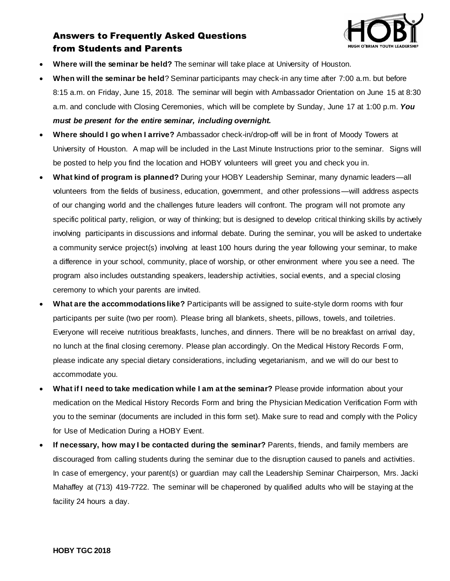

## Answers to Frequently Asked Questions from Students and Parents

- **Where will the seminar be held?** The seminar will take place at University of Houston.
- **When will the seminar be held**? Seminar participants may check-in any time after 7:00 a.m. but before 8:15 a.m. on Friday, June 15, 2018. The seminar will begin with Ambassador Orientation on June 15 at 8:30 a.m. and conclude with Closing Ceremonies, which will be complete by Sunday, June 17 at 1:00 p.m. *You must be present for the entire seminar, including overnight.*
- **Where should I go when I arrive?** Ambassador check-in/drop-off will be in front of Moody Towers at University of Houston. A map will be included in the Last Minute Instructions prior to the seminar. Signs will be posted to help you find the location and HOBY volunteers will greet you and check you in.
- **What kind of program is planned?** During your HOBY Leadership Seminar, many dynamic leaders—all volunteers from the fields of business, education, government, and other professions—will address aspects of our changing world and the challenges future leaders will confront. The program will not promote any specific political party, religion, or way of thinking; but is designed to develop critical thinking skills by actively involving participants in discussions and informal debate. During the seminar, you will be asked to undertake a community service project(s) involving at least 100 hours during the year following your seminar, to make a difference in your school, community, place of worship, or other environment where you see a need. The program also includes outstanding speakers, leadership activities, social events, and a special closing ceremony to which your parents are invited.
- **What are the accommodations like?** Participants will be assigned to suite-style dorm rooms with four participants per suite (two per room). Please bring all blankets, sheets, pillows, towels, and toiletries. Everyone will receive nutritious breakfasts, lunches, and dinners. There will be no breakfast on arrival day, no lunch at the final closing ceremony. Please plan accordingly. On the Medical History Records Form, please indicate any special dietary considerations, including vegetarianism, and we will do our best to accommodate you.
- **What if I need to take medication while I am at the seminar?** Please provide information about your medication on the Medical History Records Form and bring the Physician Medication Verification Form with you to the seminar (documents are included in this form set). Make sure to read and comply with the Policy for Use of Medication During a HOBY Event.
- **If necessary, how may I be contacted during the seminar?** Parents, friends, and family members are discouraged from calling students during the seminar due to the disruption caused to panels and activities. In case of emergency, your parent(s) or guardian may call the Leadership Seminar Chairperson, Mrs. Jacki Mahaffey at (713) 419-7722. The seminar will be chaperoned by qualified adults who will be staying at the facility 24 hours a day.